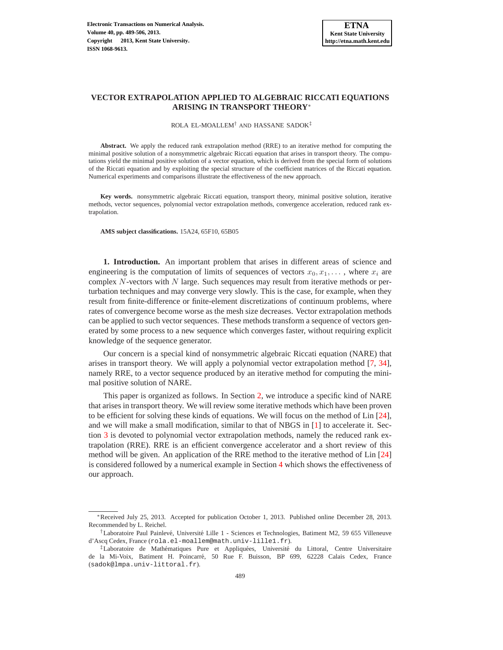### **VECTOR EXTRAPOLATION APPLIED TO ALGEBRAIC RICCATI EQUATIONS ARISING IN TRANSPORT THEORY**<sup>∗</sup>

ROLA EL-MOALLEM† AND HASSANE SADOK‡

**Abstract.** We apply the reduced rank extrapolation method (RRE) to an iterative method for computing the minimal positive solution of a nonsymmetric algebraic Riccati equation that arises in transport theory. The computations yield the minimal positive solution of a vector equation, which is derived from the special form of solutions of the Riccati equation and by exploiting the special structure of the coefficient matrices of the Riccati equation. Numerical experiments and comparisons illustrate the effectiveness of the new approach.

**Key words.** nonsymmetric algebraic Riccati equation, transport theory, minimal positive solution, iterative methods, vector sequences, polynomial vector extrapolation methods, convergence acceleration, reduced rank extrapolation.

**AMS subject classifications.** 15A24, 65F10, 65B05

**1. Introduction.** An important problem that arises in different areas of science and engineering is the computation of limits of sequences of vectors  $x_0, x_1, \ldots$ , where  $x_i$  are complex  $N$ -vectors with  $N$  large. Such sequences may result from iterative methods or perturbation techniques and may converge very slowly. This is the case, for example, when they result from finite-difference or finite-element discretizations of continuum problems, where rates of convergence become worse as the mesh size decreases. Vector extrapolation methods can be applied to such vector sequences. These methods transform a sequence of vectors generated by some process to a new sequence which converges faster, without requiring explicit knowledge of the sequence generator.

Our concern is a special kind of nonsymmetric algebraic Riccati equation (NARE) that arises in transport theory. We will apply a polynomial vector extrapolation method [\[7,](#page-16-0) [34\]](#page-17-0), namely RRE, to a vector sequence produced by an iterative method for computing the minimal positive solution of NARE.

This paper is organized as follows. In Section [2,](#page-0-0) we introduce a specific kind of NARE that arises in transport theory. We will review some iterative methods which have been proven to be efficient for solving these kinds of equations. We will focus on the method of Lin [\[24\]](#page-16-1), and we will make a small modification, similar to that of NBGS in [\[1\]](#page-16-2) to accelerate it. Section [3](#page-8-0) is devoted to polynomial vector extrapolation methods, namely the reduced rank extrapolation (RRE). RRE is an efficient convergence accelerator and a short review of this method will be given. An application of the RRE method to the iterative method of Lin [\[24\]](#page-16-1) is considered followed by a numerical example in Section [4](#page-13-0) which shows the effectiveness of our approach.

<span id="page-0-0"></span><sup>∗</sup>Received July 25, 2013. Accepted for publication October 1, 2013. Published online December 28, 2013. Recommended by L. Reichel.

<sup>&</sup>lt;sup>†</sup>Laboratoire Paul Painlevé, Université Lille 1 - Sciences et Technologies, Batiment M2, 59 655 Villeneuve d'Ascq Cedex, France (rola.el-moallem@math.univ-lille1.fr).

<sup>‡</sup>Laboratoire de Mathématiques Pure et Appliquées, Université du Littoral, Centre Universitaire de la Mi-Voix, Batiment H. Poincarre, 50 Rue F. Buisson, BP 699, 62228 Calais Cedex, France ´ (sadok@lmpa.univ-littoral.fr).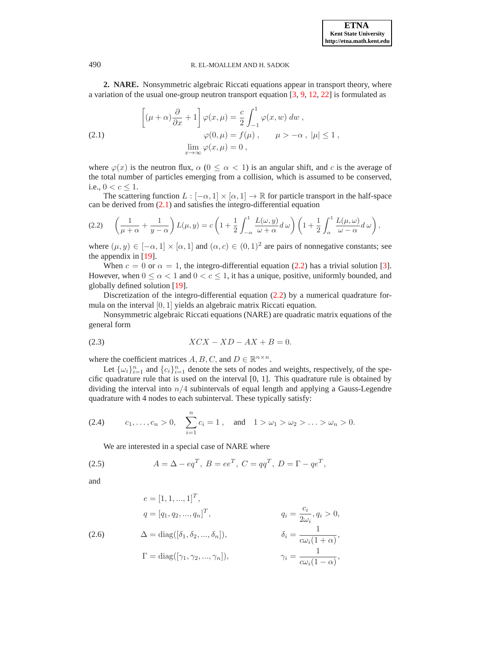**2. NARE.** Nonsymmetric algebraic Riccati equations appear in transport theory, where a variation of the usual one-group neutron transport equation [\[3,](#page-16-3) [9,](#page-16-4) [12,](#page-16-5) [22\]](#page-16-6) is formulated as

<span id="page-1-0"></span>(2.1) 
$$
\left[ (\mu + \alpha) \frac{\partial}{\partial x} + 1 \right] \varphi(x, \mu) = \frac{c}{2} \int_{-1}^{1} \varphi(x, w) dw ,
$$

$$
\varphi(0, \mu) = f(\mu) , \qquad \mu > -\alpha , |\mu| \le 1 ,
$$

$$
\lim_{x \to \infty} \varphi(x, \mu) = 0 ,
$$

where  $\varphi(x)$  is the neutron flux,  $\alpha$  ( $0 \leq \alpha < 1$ ) is an angular shift, and c is the average of the total number of particles emerging from a collision, which is assumed to be conserved, i.e.,  $0 < c < 1$ .

The scattering function  $L : [-\alpha, 1] \times [\alpha, 1] \rightarrow \mathbb{R}$  for particle transport in the half-space can be derived from [\(2.1\)](#page-1-0) and satisfies the integro-differential equation

<span id="page-1-1"></span>
$$
(2.2) \qquad \left(\frac{1}{\mu+\alpha}+\frac{1}{y-\alpha}\right)L(\mu,y)=c\left(1+\frac{1}{2}\int_{-\alpha}^{1}\frac{L(\omega,y)}{\omega+\alpha}d\,\omega\right)\left(1+\frac{1}{2}\int_{\alpha}^{1}\frac{L(\mu,\omega)}{\omega-\alpha}d\,\omega\right),
$$

where  $(\mu, y) \in [-\alpha, 1] \times [\alpha, 1]$  and  $(\alpha, c) \in (0, 1)^2$  are pairs of nonnegative constants; see the appendix in  $[19]$ .

When  $c = 0$  or  $\alpha = 1$ , the integro-differential equation [\(2.2\)](#page-1-1) has a trivial solution [\[3\]](#page-16-3). However, when  $0 \le \alpha < 1$  and  $0 < c \le 1$ , it has a unique, positive, uniformly bounded, and globally defined solution [\[19\]](#page-16-7).

Discretization of the integro-differential equation [\(2.2\)](#page-1-1) by a numerical quadrature formula on the interval [0, 1] yields an algebraic matrix Riccati equation.

<span id="page-1-4"></span>Nonsymmetric algebraic Riccati equations (NARE) are quadratic matrix equations of the general form

$$
(2.3) \t\t XCX - XD - AX + B = 0.
$$

where the coefficient matrices  $A, B, C$ , and  $D \in \mathbb{R}^{n \times n}$ .

Let  $\{\omega_i\}_{i=1}^n$  and  $\{c_i\}_{i=1}^n$  denote the sets of nodes and weights, respectively, of the specific quadrature rule that is used on the interval [0, 1]. This quadrature rule is obtained by dividing the interval into  $n/4$  subintervals of equal length and applying a Gauss-Legendre quadrature with 4 nodes to each subinterval. These typically satisfy:

(2.4) 
$$
c_1, ..., c_n > 0
$$
,  $\sum_{i=1}^n c_i = 1$ , and  $1 > \omega_1 > \omega_2 > ... > \omega_n > 0$ .

<span id="page-1-3"></span><span id="page-1-2"></span>We are interested in a special case of NARE where

(2.5) 
$$
A = \Delta - eq^T, B = ee^T, C = qq^T, D = \Gamma - qe^T,
$$

and

<span id="page-1-5"></span>(2.6)  
\n
$$
e = [1, 1, ..., 1]^T,
$$
\n
$$
q = [q_1, q_2, ..., q_n]^T,
$$
\n
$$
\Delta = \text{diag}([\delta_1, \delta_2, ..., \delta_n]),
$$
\n
$$
\delta_i = \frac{1}{c\omega_i(1+\alpha)},
$$
\n
$$
\Gamma = \text{diag}([\gamma_1, \gamma_2, ..., \gamma_n]),
$$
\n
$$
\gamma_i = \frac{1}{c\omega_i(1-\alpha)},
$$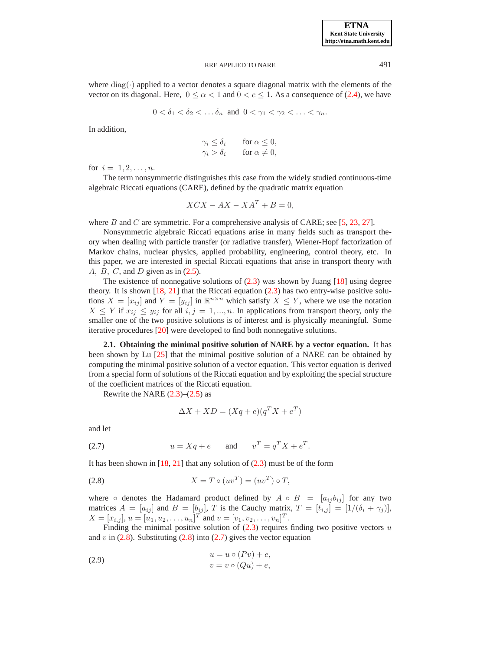where  $diag(\cdot)$  applied to a vector denotes a square diagonal matrix with the elements of the vector on its diagonal. Here,  $0 \le \alpha < 1$  and  $0 < c \le 1$ . As a consequence of [\(2.4\)](#page-1-2), we have

$$
0 < \delta_1 < \delta_2 < \dots \delta_n \text{ and } 0 < \gamma_1 < \gamma_2 < \dots < \gamma_n.
$$

In addition,

$$
\gamma_i \le \delta_i \quad \text{for } \alpha \le 0, \n\gamma_i > \delta_i \quad \text{for } \alpha \ne 0,
$$

for  $i = 1, 2, ..., n$ .

The term nonsymmetric distinguishes this case from the widely studied continuous-time algebraic Riccati equations (CARE), defined by the quadratic matrix equation

$$
XCX - AX - XA^T + B = 0,
$$

where B and C are symmetric. For a comprehensive analysis of CARE; see [\[5,](#page-16-8) [23,](#page-16-9) [27\]](#page-16-10).

Nonsymmetric algebraic Riccati equations arise in many fields such as transport theory when dealing with particle transfer (or radiative transfer), Wiener-Hopf factorization of Markov chains, nuclear physics, applied probability, engineering, control theory, etc. In this paper, we are interested in special Riccati equations that arise in transport theory with A,  $B$ ,  $C$ , and  $D$  given as in  $(2.5)$ .

The existence of nonnegative solutions of  $(2.3)$  was shown by Juang  $[18]$  using degree theory. It is shown  $[18, 21]$  $[18, 21]$  $[18, 21]$  that the Riccati equation  $(2.3)$  has two entry-wise positive solutions  $X = [x_{ij}]$  and  $Y = [y_{ij}]$  in  $\mathbb{R}^{n \times n}$  which satisfy  $X \leq Y$ , where we use the notation  $X \leq Y$  if  $x_{ij} \leq y_{ij}$  for all  $i, j = 1, ..., n$ . In applications from transport theory, only the smaller one of the two positive solutions is of interest and is physically meaningful. Some iterative procedures [\[20\]](#page-16-13) were developed to find both nonnegative solutions.

**2.1. Obtaining the minimal positive solution of NARE by a vector equation.** It has been shown by Lu [\[25\]](#page-16-14) that the minimal positive solution of a NARE can be obtained by computing the minimal positive solution of a vector equation. This vector equation is derived from a special form of solutions of the Riccati equation and by exploiting the special structure of the coefficient matrices of the Riccati equation.

Rewrite the NARE  $(2.3)$ – $(2.5)$  as

<span id="page-2-2"></span><span id="page-2-0"></span>
$$
\Delta X + XD = (Xq + e)(q^T X + e^T)
$$

<span id="page-2-1"></span>and let

(2.7) 
$$
u = Xq + e
$$
 and  $v^T = q^T X + e^T$ .

It has been shown in  $[18, 21]$  $[18, 21]$  that any solution of  $(2.3)$  must be of the form

$$
(2.8) \t\t X = T \circ (uv^T) = (uv^T) \circ T,
$$

where ∘ denotes the Hadamard product defined by  $A \circ B = [a_{ij}b_{ij}]$  for any two matrices  $A = [a_{ij}]$  and  $B = [b_{ij}]$ , T is the Cauchy matrix,  $T = [t_{i,j}] = [1/(\delta_i + \gamma_j)]$ ,  $X = [x_{i,j}], u = [u_1, u_2, \dots, u_n]^T$  and  $v = [v_1, v_2, \dots, v_n]^T$ .

Finding the minimal positive solution of  $(2.3)$  requires finding two positive vectors u and  $v$  in [\(2.8\)](#page-2-0). Substituting (2.8) into [\(2.7\)](#page-2-1) gives the vector equation

$$
(2.9) \t\t u = u \circ (Pv) + e,
$$
  
\n
$$
v = v \circ (Qu) + e,
$$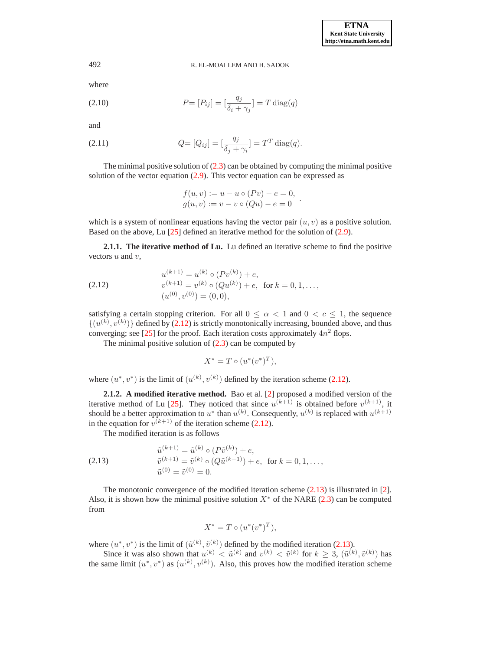where

(2.10) 
$$
P = [P_{ij}] = \left[\frac{q_j}{\delta_i + \gamma_j}\right] = T \operatorname{diag}(q)
$$

and

(2.11) 
$$
Q = [Q_{ij}] = [\frac{q_j}{\delta_j + \gamma_i}] = T^T \text{diag}(q).
$$

The minimal positive solution of  $(2.3)$  can be obtained by computing the minimal positive solution of the vector equation [\(2.9\)](#page-2-2). This vector equation can be expressed as

<span id="page-3-3"></span><span id="page-3-2"></span>
$$
f(u, v) := u - u \circ (Pv) - e = 0,
$$
  
 
$$
g(u, v) := v - v \circ (Qu) - e = 0.
$$

which is a system of nonlinear equations having the vector pair  $(u, v)$  as a positive solution. Based on the above, Lu [\[25\]](#page-16-14) defined an iterative method for the solution of [\(2.9\)](#page-2-2).

<span id="page-3-0"></span>**2.1.1. The iterative method of Lu.** Lu defined an iterative scheme to find the positive vectors  $u$  and  $v$ ,

(2.12) 
$$
u^{(k+1)} = u^{(k)} \circ (Pv^{(k)}) + e,
$$

$$
v^{(k+1)} = v^{(k)} \circ (Qu^{(k)}) + e, \text{ for } k = 0, 1, ...,
$$

$$
(u^{(0)}, v^{(0)}) = (0, 0),
$$

satisfying a certain stopping criterion. For all  $0 \le \alpha < 1$  and  $0 < c \le 1$ , the sequence  $\{(u^{(k)}, v^{(k)})\}$  defined by [\(2.12\)](#page-3-0) is strictly monotonically increasing, bounded above, and thus converging; see [\[25\]](#page-16-14) for the proof. Each iteration costs approximately  $4n^2$  flops.

The minimal positive solution of  $(2.3)$  can be computed by

<span id="page-3-1"></span>
$$
X^* = T \circ (u^*(v^*)^T),
$$

where  $(u^*, v^*)$  is the limit of  $(u^{(k)}, v^{(k)})$  defined by the iteration scheme [\(2.12\)](#page-3-0).

**2.1.2. A modified iterative method.** Bao et al. [\[2\]](#page-16-15) proposed a modified version of the iterative method of Lu [\[25\]](#page-16-14). They noticed that since  $u^{(k+1)}$  is obtained before  $v^{(k+1)}$ , it should be a better approximation to  $u^*$  than  $u^{(k)}$ . Consequently,  $u^{(k)}$  is replaced with  $u^{(k+1)}$ in the equation for  $v^{(k+1)}$  of the iteration scheme [\(2.12\)](#page-3-0).

The modified iteration is as follows

(2.13) 
$$
\tilde{u}^{(k+1)} = \tilde{u}^{(k)} \circ (P\tilde{v}^{(k)}) + e,
$$

$$
\tilde{v}^{(k+1)} = \tilde{v}^{(k)} \circ (Q\tilde{u}^{(k+1)}) + e, \text{ for } k = 0, 1, ...,
$$

$$
\tilde{u}^{(0)} = \tilde{v}^{(0)} = 0.
$$

The monotonic convergence of the modified iteration scheme  $(2.13)$  is illustrated in [\[2\]](#page-16-15). Also, it is shown how the minimal positive solution  $X^*$  of the NARE [\(2.3\)](#page-1-4) can be computed from

$$
X^* = T \circ (u^*(v^*)^T),
$$

where  $(u^*, v^*)$  is the limit of  $(\tilde{u}^{(k)}, \tilde{v}^{(k)})$  defined by the modified iteration [\(2.13\)](#page-3-1).

Since it was also shown that  $u^{(k)} < \tilde{u}^{(k)}$  and  $v^{(k)} < \tilde{v}^{(k)}$  for  $k \geq 3$ ,  $(\tilde{u}^{(k)}, \tilde{v}^{(k)})$  has the same limit  $(u^*, v^*)$  as  $(u^{(k)}, v^{(k)})$ . Also, this proves how the modified iteration scheme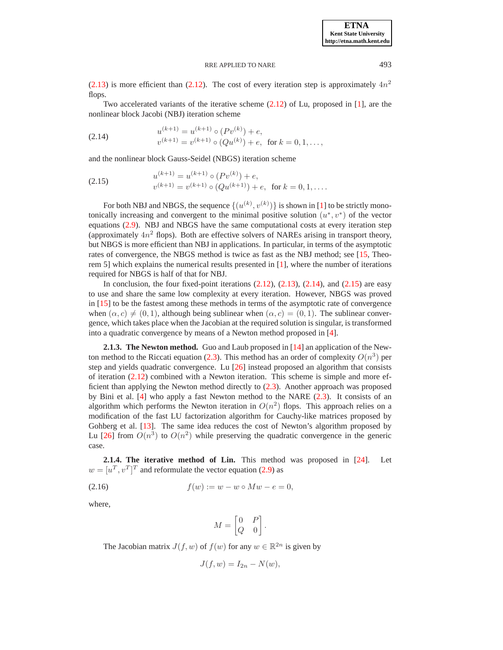[\(2.13\)](#page-3-1) is more efficient than [\(2.12\)](#page-3-0). The cost of every iteration step is approximately  $4n^2$ flops.

Two accelerated variants of the iterative scheme [\(2.12\)](#page-3-0) of Lu, proposed in [\[1\]](#page-16-2), are the nonlinear block Jacobi (NBJ) iteration scheme

(2.14) 
$$
u^{(k+1)} = u^{(k+1)} \circ (Pv^{(k)}) + e,
$$

$$
v^{(k+1)} = v^{(k+1)} \circ (Qu^{(k)}) + e, \text{ for } k = 0, 1, ...,
$$

and the nonlinear block Gauss-Seidel (NBGS) iteration scheme

(2.15) 
$$
u^{(k+1)} = u^{(k+1)} \circ (Pv^{(k)}) + e,
$$

$$
v^{(k+1)} = v^{(k+1)} \circ (Qu^{(k+1)}) + e, \text{ for } k = 0, 1, ....
$$

For both NBJ and NBGS, the sequence  $\{(u^{(k)}, v^{(k)})\}$  is shown in [\[1\]](#page-16-2) to be strictly monotonically increasing and convergent to the minimal positive solution  $(u^*, v^*)$  of the vector equations [\(2.9\)](#page-2-2). NBJ and NBGS have the same computational costs at every iteration step (approximately  $4n^2$  flops). Both are effective solvers of NAREs arising in transport theory, but NBGS is more efficient than NBJ in applications. In particular, in terms of the asymptotic rates of convergence, the NBGS method is twice as fast as the NBJ method; see [\[15,](#page-16-16) Theorem 5] which explains the numerical results presented in  $[1]$ , where the number of iterations required for NBGS is half of that for NBJ.

In conclusion, the four fixed-point iterations  $(2.12)$ ,  $(2.13)$ ,  $(2.14)$ , and  $(2.15)$  are easy to use and share the same low complexity at every iteration. However, NBGS was proved in [\[15\]](#page-16-16) to be the fastest among these methods in terms of the asymptotic rate of convergence when  $(\alpha, c) \neq (0, 1)$ , although being sublinear when  $(\alpha, c) = (0, 1)$ . The sublinear convergence, which takes place when the Jacobian at the required solution is singular, is transformed into a quadratic convergence by means of a Newton method proposed in [\[4\]](#page-16-17).

<span id="page-4-3"></span>**2.1.3. The Newton method.** Guo and Laub proposed in [\[14\]](#page-16-18) an application of the New-ton method to the Riccati equation [\(2.3\)](#page-1-4). This method has an order of complexity  $O(n^3)$  per step and yields quadratic convergence. Lu [\[26\]](#page-16-19) instead proposed an algorithm that consists of iteration [\(2.12\)](#page-3-0) combined with a Newton iteration. This scheme is simple and more efficient than applying the Newton method directly to [\(2.3\)](#page-1-4). Another approach was proposed by Bini et al. [\[4\]](#page-16-17) who apply a fast Newton method to the NARE [\(2.3\)](#page-1-4). It consists of an algorithm which performs the Newton iteration in  $O(n^2)$  flops. This approach relies on a modification of the fast LU factorization algorithm for Cauchy-like matrices proposed by Gohberg et al. [\[13\]](#page-16-20). The same idea reduces the cost of Newton's algorithm proposed by Lu [\[26\]](#page-16-19) from  $O(n^3)$  to  $O(n^2)$  while preserving the quadratic convergence in the generic case.

**2.1.4. The iterative method of Lin.** This method was proposed in [\[24\]](#page-16-1). Let  $w = [u^T, v^T]^T$  and reformulate the vector equation [\(2.9\)](#page-2-2) as

(2.16) 
$$
f(w) := w - w \circ Mw - e = 0,
$$

where,

<span id="page-4-2"></span>
$$
M = \begin{bmatrix} 0 & P \\ Q & 0 \end{bmatrix}.
$$

The Jacobian matrix  $J(f, w)$  of  $f(w)$  for any  $w \in \mathbb{R}^{2n}$  is given by

$$
J(f, w) = I_{2n} - N(w),
$$

<span id="page-4-1"></span>

<span id="page-4-0"></span>**ETNA Kent State University http://etna.math.kent.edu**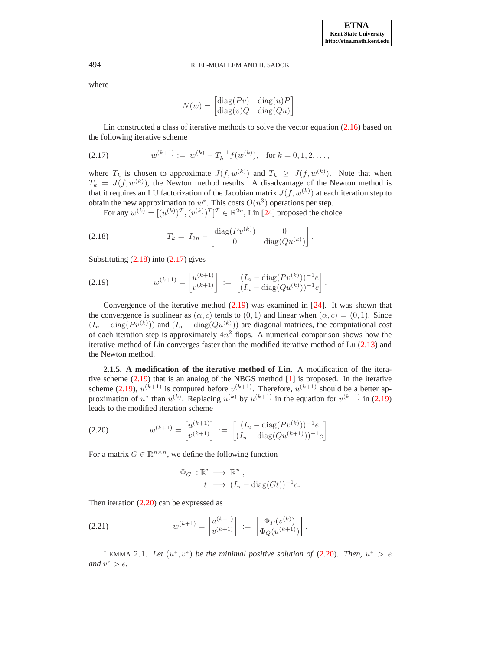where

<span id="page-5-1"></span><span id="page-5-0"></span>
$$
N(w) = \begin{bmatrix} \text{diag}(Pv) & \text{diag}(u)P \\ \text{diag}(v)Q & \text{diag}(Qu) \end{bmatrix}.
$$

Lin constructed a class of iterative methods to solve the vector equation [\(2.16\)](#page-4-2) based on the following iterative scheme

$$
(2.17) \t w^{(k+1)} := w^{(k)} - T_k^{-1} f(w^{(k)}), \text{ for } k = 0, 1, 2, \dots,
$$

where  $T_k$  is chosen to approximate  $J(f, w^{(k)})$  and  $T_k \geq J(f, w^{(k)})$ . Note that when  $T_k = J(f, w^{(k)})$ , the Newton method results. A disadvantage of the Newton method is that it requires an LU factorization of the Jacobian matrix  $J(f, w^{(k)})$  at each iteration step to obtain the new approximation to  $w^*$ . This costs  $O(n^3)$  operations per step.

For any  $w^{(k)} = [(u^{(k)})^T, (v^{(k)})^T]^T \in \mathbb{R}^{2n}$ , Lin [\[24\]](#page-16-1) proposed the choice

(2.18) 
$$
T_k = I_{2n} - \begin{bmatrix} \text{diag}(Pv^{(k)}) & 0 \\ 0 & \text{diag}(Qu^{(k)}) \end{bmatrix}.
$$

<span id="page-5-2"></span>Substituting  $(2.18)$  into  $(2.17)$  gives

(2.19) 
$$
w^{(k+1)} = \begin{bmatrix} u^{(k+1)} \\ v^{(k+1)} \end{bmatrix} := \begin{bmatrix} (I_n - \text{diag}(Pv^{(k)}))^{-1}e \\ (I_n - \text{diag}(Qu^{(k)}))^{-1}e \end{bmatrix}.
$$

Convergence of the iterative method  $(2.19)$  was examined in [\[24\]](#page-16-1). It was shown that the convergence is sublinear as  $(\alpha, c)$  tends to  $(0, 1)$  and linear when  $(\alpha, c) = (0, 1)$ . Since  $(I_n - \text{diag}(Pv^{(k)}))$  and  $(I_n - \text{diag}(Qu^{(k)}))$  are diagonal matrices, the computational cost of each iteration step is approximately  $4n^2$  flops. A numerical comparison shows how the iterative method of Lin converges faster than the modified iterative method of Lu [\(2.13\)](#page-3-1) and the Newton method.

**2.1.5. A modification of the iterative method of Lin.** A modification of the iterative scheme [\(2.19\)](#page-5-2) that is an analog of the NBGS method [\[1\]](#page-16-2) is proposed. In the iterative scheme [\(2.19\)](#page-5-2),  $u^{(k+1)}$  is computed before  $v^{(k+1)}$ . Therefore,  $u^{(k+1)}$  should be a better approximation of  $u^*$  than  $u^{(k)}$ . Replacing  $u^{(k)}$  by  $u^{(k+1)}$  in the equation for  $v^{(k+1)}$  in [\(2.19\)](#page-5-2) leads to the modified iteration scheme

$$
(2.20) \t w^{(k+1)} = \begin{bmatrix} u^{(k+1)} \\ v^{(k+1)} \end{bmatrix} := \begin{bmatrix} (I_n - \text{diag}(Pv^{(k)}))^{-1}e \\ (I_n - \text{diag}(Qu^{(k+1)})))^{-1}e \end{bmatrix}.
$$

For a matrix  $G \in \mathbb{R}^{n \times n}$ , we define the following function

<span id="page-5-5"></span><span id="page-5-3"></span>
$$
\Phi_G : \mathbb{R}^n \longrightarrow \mathbb{R}^n ,
$$
  

$$
t \longrightarrow (I_n - \text{diag}(Gt))^{-1}e.
$$

Then iteration [\(2.20\)](#page-5-3) can be expressed as

(2.21) 
$$
w^{(k+1)} = \begin{bmatrix} u^{(k+1)} \\ v^{(k+1)} \end{bmatrix} := \begin{bmatrix} \Phi_P(v^{(k)}) \\ \Phi_Q(u^{(k+1)}) \end{bmatrix}.
$$

<span id="page-5-4"></span>LEMMA 2.1. Let  $(u^*, v^*)$  be the minimal positive solution of  $(2.20)$ . Then,  $u^* > e$ and  $v^* > e$ .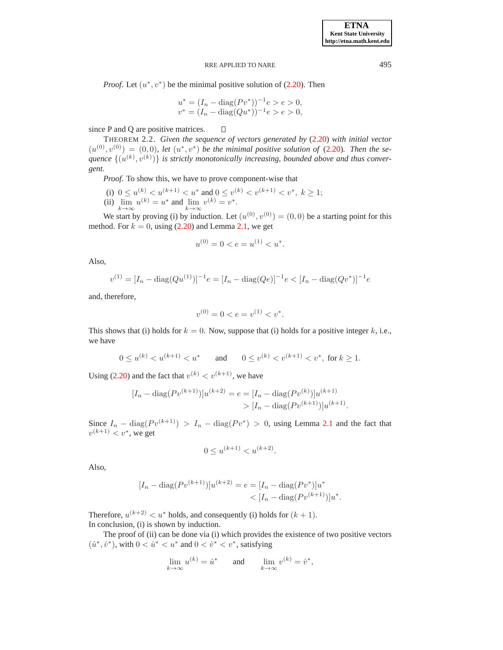*Proof.* Let  $(u^*, v^*)$  be the minimal positive solution of  $(2.20)$ . Then

$$
u^* = (I_n - \text{diag}(Pv^*))^{-1}e > e > 0,
$$
  

$$
v^* = (I_n - \text{diag}(Qu^*))^{-1}e > e > 0,
$$

since P and Q are positive matrices.  $\Box$ 

THEOREM 2.2. *Given the sequence of vectors generated by* [\(2.20\)](#page-5-3) *with initial vector*  $(u^{(0)}, v^{(0)}) = (0,0)$ , let  $(u^*, v^*)$  be the minimal positive solution of  $(2.20)$ . Then the sequence  $\{(u^{(k)}, v^{(k)})\}$  is strictly monotonically increasing, bounded above and thus conver*gent.*

*Proof*. To show this, we have to prove component-wise that

- (i)  $0 \le u^{(k)} < u^{(k+1)} < u^*$  and  $0 \le v^{(k)} < v^{(k+1)} < v^*, k \ge 1$ ;
- (ii)  $\lim_{k \to \infty} u^{(k)} = u^*$  and  $\lim_{k \to \infty} v^{(k)} = v^*$ .

We start by proving (i) by induction. Let  $(u^{(0)}, v^{(0)}) = (0, 0)$  be a starting point for this method. For  $k = 0$ , using [\(2.20\)](#page-5-3) and Lemma [2.1,](#page-5-4) we get

$$
u^{(0)} = 0 < e = u^{(1)} < u^*.
$$

Also,

$$
v^{(1)} = [I_n - \text{diag}(Qu^{(1)})]^{-1} e = [I_n - \text{diag}(Qe)]^{-1} e < [I_n - \text{diag}(Qv^*)]^{-1} e
$$

and, therefore,

$$
v^{(0)} = 0 < e = v^{(1)} < v^*.
$$

This shows that (i) holds for  $k = 0$ . Now, suppose that (i) holds for a positive integer k, i.e., we have

$$
0 \le u^{(k)} < u^{(k+1)} < u^* \qquad \text{and} \qquad 0 \le v^{(k)} < v^{(k+1)} < v^*, \text{ for } k \ge 1.
$$

Using [\(2.20\)](#page-5-3) and the fact that  $v^{(k)} < v^{(k+1)}$ , we have

$$
[I_n - \text{diag}(Pv^{(k+1)})]u^{(k+2)} = e = [I_n - \text{diag}(Pv^{(k)})]u^{(k+1)}
$$
  
> 
$$
[I_n - \text{diag}(Pv^{(k+1)})]u^{(k+1)}.
$$

Since  $I_n - \text{diag}(Pv^{(k+1)}) > I_n - \text{diag}(Pv^*) > 0$ , using Lemma [2.1](#page-5-4) and the fact that  $v^{(k+1)} < v^*$ , we get

$$
0 \le u^{(k+1)} < u^{(k+2)}.
$$

Also,

$$
[I_n - \text{diag}(Pv^{(k+1)})]u^{(k+2)} = e = [I_n - \text{diag}(Pv^*)]u^*
$$
  

$$
< [I_n - \text{diag}(Pv^{(k+1)})]u^*.
$$

Therefore,  $u^{(k+2)} < u^*$  holds, and consequently (i) holds for  $(k+1)$ . In conclusion, (i) is shown by induction.

The proof of (ii) can be done via (i) which provides the existence of two positive vectors  $(\hat{u}^*, \hat{v}^*)$ , with  $0 < \hat{u}^* < u^*$  and  $0 < \hat{v}^* < v^*$ , satisfying

$$
\lim_{k \to \infty} u^{(k)} = \hat{u}^* \quad \text{and} \quad \lim_{k \to \infty} v^{(k)} = \hat{v}^*,
$$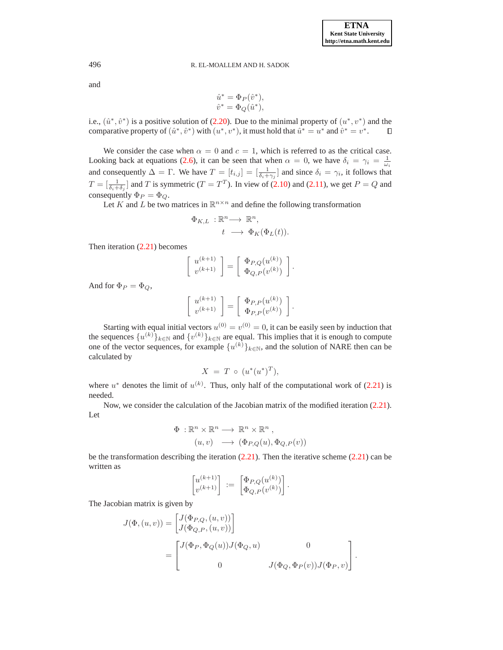and

$$
\hat{u}^* = \Phi_P(\hat{v}^*),
$$
  

$$
\hat{v}^* = \Phi_Q(\hat{u}^*),
$$

i.e.,  $(\hat{u}^*, \hat{v}^*)$  is a positive solution of [\(2.20\)](#page-5-3). Due to the minimal property of  $(u^*, v^*)$  and the comparative property of  $(\hat{u}^*, \hat{v}^*)$  with  $(u^*, v^*)$ , it must hold that  $\hat{u}^* = u^*$  and  $\hat{v}^* = v^*$ .  $\Box$ 

We consider the case when  $\alpha = 0$  and  $c = 1$ , which is referred to as the critical case. Looking back at equations [\(2.6\)](#page-1-5), it can be seen that when  $\alpha = 0$ , we have  $\delta_i = \gamma_i = \frac{1}{\omega_i}$ and consequently  $\Delta = \Gamma$ . We have  $T = [t_{i,j}] = [\frac{1}{\delta_i + \gamma_j}]$  and since  $\delta_i = \gamma_i$ , it follows that  $T = \left[\frac{1}{\delta_i + \delta_j}\right]$  and T is symmetric  $(T = T^T)$ . In view of [\(2.10\)](#page-3-2) and [\(2.11\)](#page-3-3), we get  $P = Q$  and consequently  $\Phi_P = \Phi_Q$ .

Let K and L be two matrices in  $\mathbb{R}^{n \times n}$  and define the following transformation

$$
\Phi_{K,L} : \mathbb{R}^n \longrightarrow \mathbb{R}^n,
$$
  

$$
t \longrightarrow \Phi_K(\Phi_L(t)).
$$

Then iteration [\(2.21\)](#page-5-5) becomes

$$
\begin{bmatrix} u^{(k+1)} \\ v^{(k+1)} \end{bmatrix} = \begin{bmatrix} \Phi_{P,Q}(u^{(k)}) \\ \Phi_{Q,P}(v^{(k)}) \end{bmatrix}.
$$

And for  $\Phi_P = \Phi_O$ ,

$$
\left[\begin{array}{c}u^{(k+1)}\\v^{(k+1)}\end{array}\right]=\left[\begin{array}{c}\Phi_{P,P}(u^{(k)})\\ \Phi_{P,P}(v^{(k)})\end{array}\right].
$$

Starting with equal initial vectors  $u^{(0)} = v^{(0)} = 0$ , it can be easily seen by induction that the sequences  $\{u^{(k)}\}_{k\in\mathbb{N}}$  and  $\{v^{(k)}\}_{k\in\mathbb{N}}$  are equal. This implies that it is enough to compute one of the vector sequences, for example  $\{u^{(k)}\}_{k\in\mathbb{N}}$ , and the solution of NARE then can be calculated by

$$
X = T \circ (u^*(u^*)^T),
$$

where  $u^*$  denotes the limit of  $u^{(k)}$ . Thus, only half of the computational work of [\(2.21\)](#page-5-5) is needed.

Now, we consider the calculation of the Jacobian matrix of the modified iteration [\(2.21\)](#page-5-5). Let

$$
\Phi : \mathbb{R}^n \times \mathbb{R}^n \longrightarrow \mathbb{R}^n \times \mathbb{R}^n ,
$$
  
\n
$$
(u, v) \longrightarrow (\Phi_{P,Q}(u), \Phi_{Q,P}(v))
$$

be the transformation describing the iteration  $(2.21)$ . Then the iterative scheme  $(2.21)$  can be written as

$$
\begin{bmatrix} u^{(k+1)} \\ v^{(k+1)} \end{bmatrix} \; := \; \begin{bmatrix} \Phi_{P,Q}(u^{(k)}) \\ \Phi_{Q,P}(v^{(k)}) \end{bmatrix}
$$

.

The Jacobian matrix is given by

$$
J(\Phi, (u, v)) = \begin{bmatrix} J(\Phi_{P,Q}, (u, v)) \\ J(\Phi_{Q,P}, (u, v)) \end{bmatrix}
$$
  
= 
$$
\begin{bmatrix} J(\Phi_{P}, \Phi_{Q}(u)) J(\Phi_{Q}, u) & 0 \\ 0 & J(\Phi_{Q}, \Phi_{P}(v)) J(\Phi_{P}, v) \end{bmatrix}.
$$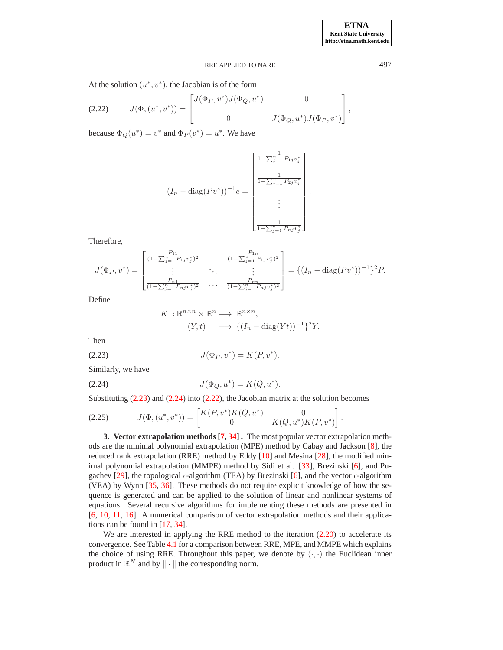<span id="page-8-4"></span>.

### <span id="page-8-3"></span>RRE APPLIED TO NARE 497

At the solution  $(u^*, v^*)$ , the Jacobian is of the form

$$
(2.22) \tJ(\Phi, (u^*, v^*)) = \begin{bmatrix} J(\Phi_P, v^*) J(\Phi_Q, u^*) & 0 \\ 0 & J(\Phi_Q, u^*) J(\Phi_P, v^*) \end{bmatrix},
$$

because  $\Phi_Q(u^*) = v^*$  and  $\Phi_P(v^*) = u^*$ . We have

$$
(I_n - \text{diag}(Pv^*))^{-1} e = \begin{bmatrix} \frac{1}{1 - \sum_{j=1}^n P_{1j}v_j^*} \\ \frac{1}{1 - \sum_{j=1}^n P_{2j}v_j^*} \\ \vdots \\ \frac{1}{1 - \sum_{j=1}^n P_{nj}v_j^*} \end{bmatrix}.
$$

Therefore,

$$
J(\Phi_P, v^*) = \begin{bmatrix} \frac{P_{11}}{(1-\sum_{j=1}^n P_{1j}v_j^*)^2} & \cdots & \frac{P_{1n}}{(1-\sum_{j=1}^n P_{1j}v_j^*)^2} \\ \vdots & \ddots & \vdots \\ \frac{P_{n1}}{(1-\sum_{j=1}^n P_{nj}v_j^*)^2} & \cdots & \frac{P_{nn}}{(1-\sum_{j=1}^n P_{nj}v_j^*)^2} \end{bmatrix} = \left\{ (I_n - \text{diag}(Pv^*))^{-1} \right\}^2 P.
$$

Define

<span id="page-8-2"></span>
$$
K: \mathbb{R}^{n \times n} \times \mathbb{R}^n \longrightarrow \mathbb{R}^{n \times n},
$$
  
\n
$$
(Y, t) \longrightarrow \{ (I_n - \text{diag}(Yt))^{-1} \}^2 Y.
$$

<span id="page-8-1"></span>Then

(2.23) 
$$
J(\Phi_P, v^*) = K(P, v^*).
$$

Similarly, we have

(2.24) 
$$
J(\Phi_Q, u^*) = K(Q, u^*).
$$

Substituting  $(2.23)$  and  $(2.24)$  into  $(2.22)$ , the Jacobian matrix at the solution becomes

$$
(2.25) \t J(\Phi, (u^*, v^*)) = \begin{bmatrix} K(P, v^*) K(Q, u^*) & 0 \\ 0 & K(Q, u^*) K(P, v^*) \end{bmatrix}
$$

<span id="page-8-0"></span>**3. Vector extrapolation methods [\[7,](#page-16-0) [34\]](#page-17-0) .** The most popular vector extrapolation methods are the minimal polynomial extrapolation (MPE) method by Cabay and Jackson [\[8\]](#page-16-21), the reduced rank extrapolation (RRE) method by Eddy [\[10\]](#page-16-22) and Mesina [\[28\]](#page-16-23), the modified minimal polynomial extrapolation (MMPE) method by Sidi et al. [\[33\]](#page-17-1), Brezinski [\[6\]](#page-16-24), and Pu-gachev [\[29\]](#page-16-25), the topological  $\epsilon$ -algorithm (TEA) by Brezinski [\[6\]](#page-16-24), and the vector  $\epsilon$ -algorithm (VEA) by Wynn [\[35,](#page-17-2) [36\]](#page-17-3). These methods do not require explicit knowledge of how the sequence is generated and can be applied to the solution of linear and nonlinear systems of equations. Several recursive algorithms for implementing these methods are presented in [\[6,](#page-16-24) [10,](#page-16-22) [11,](#page-16-26) [16\]](#page-16-27). A numerical comparison of vector extrapolation methods and their applications can be found in [\[17,](#page-16-28) [34\]](#page-17-0).

We are interested in applying the RRE method to the iteration  $(2.20)$  to accelerate its convergence. See Table [4.1](#page-14-0) for a comparison between RRE, MPE, and MMPE which explains the choice of using RRE. Throughout this paper, we denote by  $(\cdot, \cdot)$  the Euclidean inner product in  $\mathbb{R}^N$  and by  $\|\cdot\|$  the corresponding norm.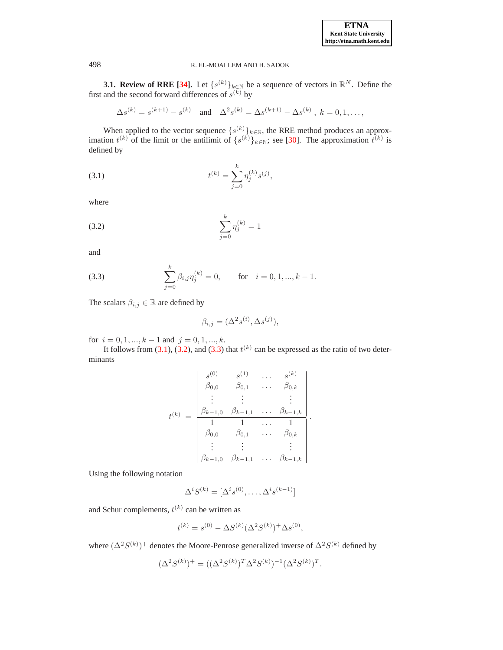**3.1. Review of RRE [\[34\]](#page-17-0).** Let  $\{s^{(k)}\}_{k\in\mathbb{N}}$  be a sequence of vectors in  $\mathbb{R}^N$ . Define the first and the second forward differences of  $s^{(k)}$  by

$$
\Delta s^{(k)} = s^{(k+1)} - s^{(k)}
$$
 and  $\Delta^2 s^{(k)} = \Delta s^{(k+1)} - \Delta s^{(k)}$ ,  $k = 0, 1, ...,$ 

When applied to the vector sequence  $\{s^{(k)}\}_{k\in\mathbb{N}}$ , the RRE method produces an approximation  $t^{(k)}$  of the limit or the antilimit of  $\{s^{(k)}\}_{k\in\mathbb{N}}$ ; see [\[30\]](#page-16-29). The approximation  $t^{(k)}$  is defined by

<span id="page-9-0"></span>(3.1) 
$$
t^{(k)} = \sum_{j=0}^{k} \eta_j^{(k)} s^{(j)},
$$

<span id="page-9-1"></span>where

(3.2) 
$$
\sum_{j=0}^{k} \eta_j^{(k)} = 1
$$

<span id="page-9-2"></span>and

(3.3) 
$$
\sum_{j=0}^{k} \beta_{i,j} \eta_j^{(k)} = 0, \quad \text{for} \quad i = 0, 1, ..., k - 1.
$$

The scalars  $\beta_{i,j} \in \mathbb{R}$  are defined by

$$
\beta_{i,j} = (\Delta^2 s^{(i)}, \Delta s^{(j)}),
$$

for  $i = 0, 1, ..., k - 1$  and  $j = 0, 1, ..., k$ .

It follows from [\(3.1\)](#page-9-0), [\(3.2\)](#page-9-1), and [\(3.3\)](#page-9-2) that  $t^{(k)}$  can be expressed as the ratio of two determinants

$$
t^{(k)} = \begin{vmatrix} s^{(0)} & s^{(1)} & \dots & s^{(k)} \\ \beta_{0,0} & \beta_{0,1} & \dots & \beta_{0,k} \\ \vdots & \vdots & & \vdots \\ \beta_{k-1,0} & \beta_{k-1,1} & \dots & \beta_{k-1,k} \\ 1 & 1 & \dots & 1 \\ \beta_{0,0} & \beta_{0,1} & \dots & \beta_{0,k} \\ \vdots & \vdots & & \vdots \\ \beta_{k-1,0} & \beta_{k-1,1} & \dots & \beta_{k-1,k} \end{vmatrix}.
$$

Using the following notation

$$
\Delta^i S^{(k)} = [\Delta^i s^{(0)}, \dots, \Delta^i s^{(k-1)}]
$$

and Schur complements,  $t^{(k)}$  can be written as

$$
t^{(k)} = s^{(0)} - \Delta S^{(k)} (\Delta^2 S^{(k)})^+ \Delta s^{(0)},
$$

where  $(\Delta^2 S^{(k)})^+$  denotes the Moore-Penrose generalized inverse of  $\Delta^2 S^{(k)}$  defined by

$$
(\Delta^2 S^{(k)})^+ = ((\Delta^2 S^{(k)})^T \Delta^2 S^{(k)})^{-1} (\Delta^2 S^{(k)})^T.
$$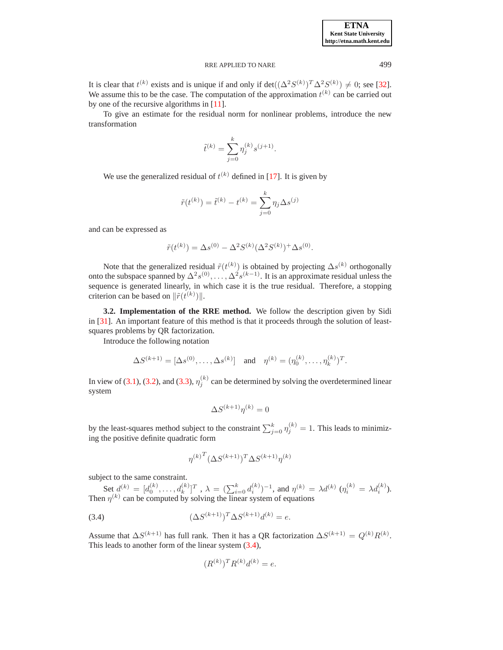It is clear that  $t^{(k)}$  exists and is unique if and only if  $\det((\Delta^2 S^{(k)})^T \Delta^2 S^{(k)}) \neq 0$ ; see [\[32\]](#page-17-4). We assume this to be the case. The computation of the approximation  $t^{(k)}$  can be carried out by one of the recursive algorithms in [\[11\]](#page-16-26).

To give an estimate for the residual norm for nonlinear problems, introduce the new transformation

$$
\tilde{t}^{(k)} = \sum_{j=0}^{k} \eta_j^{(k)} s^{(j+1)}.
$$

We use the generalized residual of  $t^{(k)}$  defined in [\[17\]](#page-16-28). It is given by

$$
\tilde{r}(t^{(k)}) = \tilde{t}^{(k)} - t^{(k)} = \sum_{j=0}^{k} \eta_j \Delta s^{(j)}
$$

and can be expressed as

$$
\tilde{r}(t^{(k)}) = \Delta s^{(0)} - \Delta^2 S^{(k)} (\Delta^2 S^{(k)})^+ \Delta s^{(0)}.
$$

Note that the generalized residual  $\tilde{r}(t^{(k)})$  is obtained by projecting  $\Delta s^{(k)}$  orthogonally onto the subspace spanned by  $\Delta^2 s^{(0)}, \ldots, \Delta^2 s^{(k-1)}$ . It is an approximate residual unless the sequence is generated linearly, in which case it is the true residual. Therefore, a stopping criterion can be based on  $\|\tilde{r}(t^{(k)})\|$ .

**3.2. Implementation of the RRE method.** We follow the description given by Sidi in [\[31\]](#page-16-30). An important feature of this method is that it proceeds through the solution of leastsquares problems by QR factorization.

Introduce the following notation

$$
\Delta S^{(k+1)} = [\Delta s^{(0)}, \dots, \Delta s^{(k)}] \text{ and } \eta^{(k)} = (\eta_0^{(k)}, \dots, \eta_k^{(k)})^T.
$$

In view of [\(3.1\)](#page-9-0), [\(3.2\)](#page-9-1), and [\(3.3\)](#page-9-2),  $\eta_j^{(k)}$  can be determined by solving the overdetermined linear system

$$
\Delta S^{(k+1)}\eta^{(k)}=0
$$

by the least-squares method subject to the constraint  $\sum_{j=0}^{k} \eta_j^{(k)} = 1$ . This leads to minimizing the positive definite quadratic form

$$
\eta^{(k)^T} (\Delta S^{(k+1)})^T \Delta S^{(k+1)} \eta^{(k)}
$$

subject to the same constraint.

Set  $d^{(k)} = [d_0^{(k)}, \dots, d_k^{(k)}]^T$ ,  $\lambda = (\sum_{i=0}^k d_i^{(k)})^{-1}$ , and  $\eta^{(k)} = \lambda d^{(k)}$   $(\eta_i^{(k)} = \lambda d_i^{(k)})$ . Then  $\eta^{(k)}$  can be computed by solving the linear system of equations

(3.4) 
$$
(\Delta S^{(k+1)})^T \Delta S^{(k+1)} d^{(k)} = e.
$$

Assume that  $\Delta S^{(k+1)}$  has full rank. Then it has a QR factorization  $\Delta S^{(k+1)} = Q^{(k)} R^{(k)}$ . This leads to another form of the linear system [\(3.4\)](#page-10-0),

<span id="page-10-0"></span>
$$
(R^{(k)})^T R^{(k)} d^{(k)} = e.
$$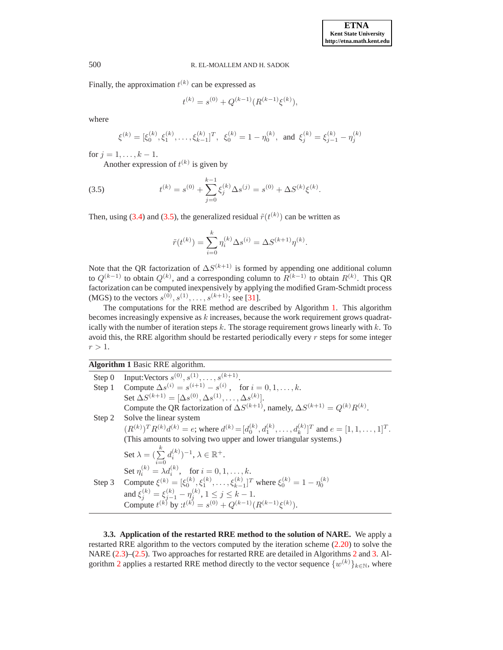Finally, the approximation  $t^{(k)}$  can be expressed as

<span id="page-11-0"></span>
$$
t^{(k)} = s^{(0)} + Q^{(k-1)}(R^{(k-1)}\xi^{(k)}),
$$

where

$$
\xi^{(k)} = [\xi_0^{(k)}, \xi_1^{(k)}, \dots, \xi_{k-1}^{(k)}]^T, \ \xi_0^{(k)} = 1 - \eta_0^{(k)}, \text{ and } \xi_j^{(k)} = \xi_{j-1}^{(k)} - \eta_j^{(k)}
$$

for  $j = 1, ..., k - 1$ .

Another expression of  $t^{(k)}$  is given by

(3.5) 
$$
t^{(k)} = s^{(0)} + \sum_{j=0}^{k-1} \xi_j^{(k)} \Delta s^{(j)} = s^{(0)} + \Delta S^{(k)} \xi^{(k)}.
$$

Then, using [\(3.4\)](#page-10-0) and [\(3.5\)](#page-11-0), the generalized residual  $\tilde{r}(t^{(k)})$  can be written as

$$
\tilde{r}(t^{(k)}) = \sum_{i=0}^{k} \eta_i^{(k)} \Delta s^{(i)} = \Delta S^{(k+1)} \eta^{(k)}.
$$

Note that the QR factorization of  $\Delta S^{(k+1)}$  is formed by appending one additional column to  $Q^{(k-1)}$  to obtain  $Q^{(k)}$ , and a corresponding column to  $R^{(k-1)}$  to obtain  $R^{(k)}$ . This QR factorization can be computed inexpensively by applying the modified Gram-Schmidt process (MGS) to the vectors  $s^{(0)}, s^{(1)}, \ldots, s^{(k+1)}$ ; see [\[31\]](#page-16-30).

The computations for the RRE method are described by Algorithm [1.](#page-11-1) This algorithm becomes increasingly expensive as  $k$  increases, because the work requirement grows quadratically with the number of iteration steps  $k$ . The storage requirement grows linearly with  $k$ . To avoid this, the RRE algorithm should be restarted periodically every  $r$  steps for some integer  $r > 1$ .

**Algorithm 1** Basic RRE algorithm.

<span id="page-11-1"></span>

| Step 0 | Input:Vectors $s^{(0)}, s^{(1)}, \ldots, s^{(k+1)}$ .                                                                           |
|--------|---------------------------------------------------------------------------------------------------------------------------------|
| Step 1 | Compute $\Delta s^{(i)} = s^{(i+1)} - s^{(i)}$ , for $i = 0, 1, , k$ .                                                          |
|        | Set $\Delta S^{(k+1)} = [\Delta s^{(0)}, \Delta s^{(1)}, \ldots, \Delta s^{(k)}].$                                              |
|        | Compute the QR factorization of $\Delta S^{(k+1)}$ , namely, $\Delta S^{(k+1)} = Q^{(k)} R^{(k)}$ .                             |
| Step 2 | Solve the linear system                                                                                                         |
|        | $(R^{(k)})^T R^{(k)} d^{(k)} = e$ ; where $d^{(k)} = [d_0^{(k)}, d_1^{(k)}, \dots, d_k^{(k)}]^T$ and $e = [1, 1, \dots, 1]^T$ . |
|        | (This amounts to solving two upper and lower triangular systems.)                                                               |
|        | Set $\lambda = (\sum_{i=1}^{k} d_i^{(k)})^{-1}, \lambda \in \mathbb{R}^+.$<br>$\sum_{i=0}$                                      |
|        | Set $n_i^{(k)} = \lambda d_i^{(k)}$ , for $i = 0, 1, , k$ .                                                                     |
| Step 3 | Compute $\xi^{(k)} = [\xi_0^{(k)}, \xi_1^{(k)}, \dots, \xi_{k-1}^{(k)}]^T$ where $\xi_0^{(k)} = 1 - \eta_0^{(k)}$               |
|        | and $\xi_i^{(k)} = \xi_{i-1}^{(k)} - \eta_i^{(k)}$ , $1 \le j \le k - 1$ .                                                      |
|        | Compute $t^{(k)}$ by $t^{(k)} = s^{(0)} + Q^{(k-1)}(R^{(k-1)}\xi^{(k)}).$                                                       |
|        |                                                                                                                                 |

**3.3. Application of the restarted RRE method to the solution of NARE.** We apply a restarted RRE algorithm to the vectors computed by the iteration scheme [\(2.20\)](#page-5-3) to solve the NARE [\(2.3\)](#page-1-4)–[\(2.5\)](#page-1-3). Two approaches for restarted RRE are detailed in Algorithms [2](#page-12-0) and [3.](#page-12-1) Al-gorithm [2](#page-12-0) applies a restarted RRE method directly to the vector sequence  $\{w^{(k)}\}_{k\in\mathbb{N}}$ , where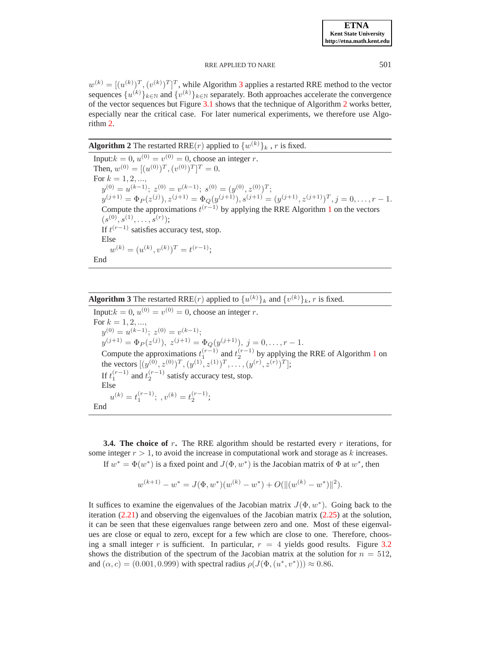$w^{(k)} = [(u^{(k)})^T, (v^{(k)})^T]^T$ , while Algorithm [3](#page-12-1) applies a restarted RRE method to the vector sequences  $\{u^{(k)}\}_{k\in\mathbb{N}}$  and  $\{v^{(k)}\}_{k\in\mathbb{N}}$  separately. Both approaches accelerate the convergence of the vector sequences but Figure [3.1](#page-13-1) shows that the technique of Algorithm [2](#page-12-0) works better, especially near the critical case. For later numerical experiments, we therefore use Algorithm [2.](#page-12-0)

# <span id="page-12-0"></span>**Algorithm 2** The restarted RRE $(r)$  applied to  $\{w^{(k)}\}_k$  ,  $r$  is fixed.

Input: $k = 0$ ,  $u^{(0)} = v^{(0)} = 0$ , choose an integer r. Then,  $w^{(0)} = [(u^{(0)})^T, (v^{(0)})^T]^T = 0.$ For  $k = 1, 2, ...,$  $y^{(0)} = u^{(k-1)}$ ;  $z^{(0)} = v^{(k-1)}$ ;  $s^{(0)} = (y^{(0)}, z^{(0)})^T$ ;  $y^{(j+1)} = \Phi_P(z^{(j)}), z^{(j+1)} = \Phi_Q(y^{(j+1)}), s^{(j+1)} = (y^{(j+1)}, z^{(j+1)})^T, j = 0, \ldots, r-1.$ Compute the approximations  $t^{(r-1)}$  $t^{(r-1)}$  $t^{(r-1)}$  by applying the RRE Algorithm 1 on the vectors  $(s^{(0)},s^{(1)},\ldots,s^{(r)});$ If  $t^{(r-1)}$  satisfies accuracy test, stop. Else  $w^{(k)} = (u^{(k)}, v^{(k)})^T = t^{(r-1)};$ End

# <span id="page-12-1"></span>**Algorithm 3** The restarted RRE(*r*) applied to  $\{u^{(k)}\}_k$  and  $\{v^{(k)}\}_k$ , *r* is fixed.

Input: $k = 0$ ,  $u^{(0)} = v^{(0)} = 0$ , choose an integer r. For  $k = 1, 2, ...,$  $y^{(0)} = u^{(k-1)}$ ;  $z^{(0)} = v^{(k-1)}$ ;  $y^{(j+1)} = \Phi_P(z^{(j)}), z^{(j+1)} = \Phi_Q(y^{(j+1)}), j = 0, \ldots, r-1.$ Compute the approximations  $t_1^{(r-1)}$  $t_1^{(r-1)}$  $t_1^{(r-1)}$  and  $t_2^{(r-1)}$  by applying the RRE of Algorithm 1 on the vectors  $[(y^{(0)}, z^{(0)})^T, (y^{(1)}, z^{(1)})^T, \dots, (y^{(r)}, z^{(r)})^T];$ If  $t_1^{(r-1)}$  and  $t_2^{(r-1)}$  satisfy accuracy test, stop. Else  $u^{(k)} = t_1^{(r-1)};$ ,  $v^{(k)} = t_2^{(r-1)};$ End

**3.4. The choice of r.** The RRE algorithm should be restarted every r iterations, for some integer  $r > 1$ , to avoid the increase in computational work and storage as k increases. If  $w^* = \Phi(w^*)$  is a fixed point and  $J(\Phi, w^*)$  is the Jacobian matrix of  $\Phi$  at  $w^*$ , then

$$
w^{(k+1)} - w^* = J(\Phi, w^*)(w^{(k)} - w^*) + O(||(w^{(k)} - w^*)||^2).
$$

It suffices to examine the eigenvalues of the Jacobian matrix  $J(\Phi, w^*)$ . Going back to the iteration  $(2.21)$  and observing the eigenvalues of the Jacobian matrix  $(2.25)$  at the solution, it can be seen that these eigenvalues range between zero and one. Most of these eigenvalues are close or equal to zero, except for a few which are close to one. Therefore, choosing a small integer r is sufficient. In particular,  $r = 4$  yields good results. Figure [3.2](#page-13-2) shows the distribution of the spectrum of the Jacobian matrix at the solution for  $n = 512$ , and  $(\alpha, c) = (0.001, 0.999)$  with spectral radius  $\rho(J(\Phi, (u^*, v^*))) \approx 0.86$ .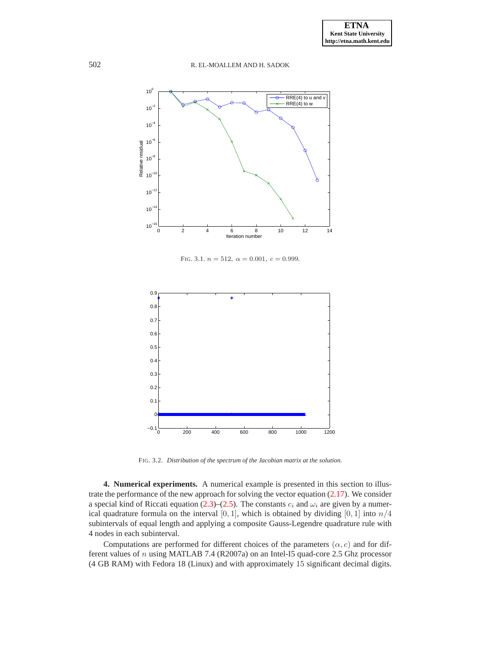

<span id="page-13-1"></span>FIG. 3.1.  $n = 512$ ,  $\alpha = 0.001$ ,  $c = 0.999$ .



<span id="page-13-2"></span>FIG. 3.2. *Distribution of the spectrum of the Jacobian matrix at the solution.*

<span id="page-13-0"></span>**4. Numerical experiments.** A numerical example is presented in this section to illustrate the performance of the new approach for solving the vector equation [\(2.17\)](#page-5-1). We consider a special kind of Riccati equation [\(2.3\)](#page-1-4)–[\(2.5\)](#page-1-3). The constants  $c_i$  and  $\omega_i$  are given by a numerical quadrature formula on the interval  $[0, 1]$ , which is obtained by dividing  $[0, 1]$  into  $n/4$ subintervals of equal length and applying a composite Gauss-Legendre quadrature rule with 4 nodes in each subinterval.

Computations are performed for different choices of the parameters  $(\alpha, c)$  and for different values of n using MATLAB 7.4 (R2007a) on an Intel-I5 quad-core 2.5 Ghz processor (4 GB RAM) with Fedora 18 (Linux) and with approximately 15 significant decimal digits.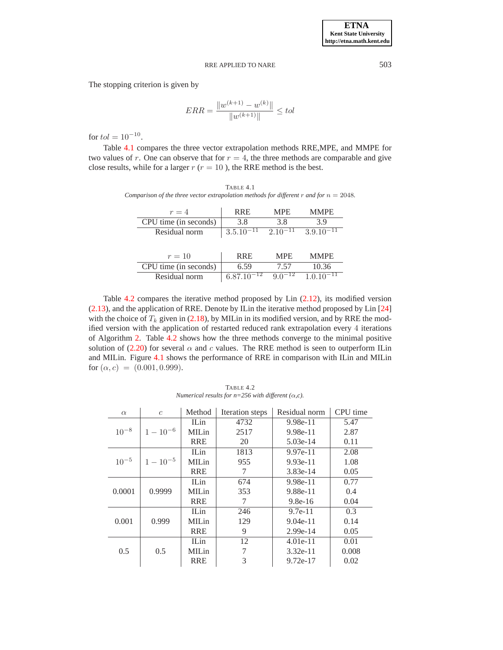The stopping criterion is given by

$$
ERR = \frac{\|w^{(k+1)} - w^{(k)}\|}{\|w^{(k+1)}\|} \le tol
$$

for  $tol = 10^{-10}$ .

Table [4.1](#page-14-0) compares the three vector extrapolation methods RRE,MPE, and MMPE for two values of r. One can observe that for  $r = 4$ , the three methods are comparable and give close results, while for a larger  $r$  ( $r = 10$ ), the RRE method is the best.

<span id="page-14-0"></span>TABLE 4.1 *Comparison of the three vector extrapolation methods for different* r *and for*  $n = 2048$ *.* 

| $r=4$                 | <b>RRE</b>     | <b>MPE</b>   | <b>MMPE</b>    |
|-----------------------|----------------|--------------|----------------|
| CPU time (in seconds) | 3.8            | 3.8          | 3.9            |
| Residual norm         | $3.5.10^{-11}$ | $2.10^{-11}$ | $3.9.10^{-11}$ |
|                       |                |              |                |
| $r=10$                | <b>RRE</b>     | <b>MPE</b>   | <b>MMPE</b>    |
| CPU time (in seconds) | 6.59           | 7.57         | 10.36          |
| Residual norm         | 6.87.16        |              |                |

Table [4.2](#page-14-1) compares the iterative method proposed by Lin [\(2.12\)](#page-3-0), its modified version [\(2.13\)](#page-3-1), and the application of RRE. Denote by ILin the iterative method proposed by Lin [\[24\]](#page-16-1) with the choice of  $T_k$  given in [\(2.18\)](#page-5-0), by MILin in its modified version, and by RRE the modified version with the application of restarted reduced rank extrapolation every 4 iterations of Algorithm [2.](#page-12-0) Table [4.2](#page-14-1) shows how the three methods converge to the minimal positive solution of [\(2.20\)](#page-5-3) for several  $\alpha$  and c values. The RRE method is seen to outperform ILin and MILin. Figure [4.1](#page-15-0) shows the performance of RRE in comparison with ILin and MILin for  $(\alpha, c) = (0.001, 0.999)$ .

 $\alpha$  c Method Iteration steps Residual norm CPU time ILin 4732 9.98e-11 5.47  $10^{-8}$  |  $1-10^{-6}$  | MILin | 2517 | 9.98e-11 | 2.87 RRE 20 5.03e-14 0.11 ILin 1813 9.97e-11 2.08  $10^{-5}$  |  $1-10^{-5}$  | MILin | 955 | 9.93e-11 | 1.08 RRE 7 3.83e-14 0.05 ILin 674 9.98e-11 0.77 0.0001 0.9999 MILin 353 9.88e-11 0.4 RRE 7 9.8e-16 0.04 ILin 246 9.7e-11 0.3 0.001 | 0.999 | MILin | 129 | 9.04e-11 | 0.14 RRE 9 2.99e-14 0.05 ILin 12 4.01e-11 0.01 0.5 | 0.5 | MILin | 7 | 3.32e-11 | 0.008 RRE 3 9.72e-17 0.02

<span id="page-14-1"></span>TABLE 4.2 *Numerical results for n=256 with different*  $(\alpha, c)$ *.*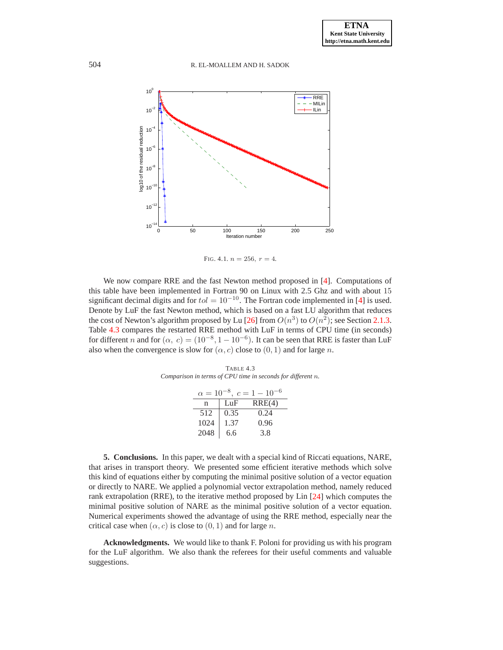

<span id="page-15-0"></span>FIG. 4.1.  $n = 256$ ,  $r = 4$ .

We now compare RRE and the fast Newton method proposed in [\[4\]](#page-16-17). Computations of this table have been implemented in Fortran 90 on Linux with 2.5 Ghz and with about 15 significant decimal digits and for  $tol = 10^{-10}$ . The Fortran code implemented in [\[4\]](#page-16-17) is used. Denote by LuF the fast Newton method, which is based on a fast LU algorithm that reduces the cost of Newton's algorithm proposed by Lu [\[26\]](#page-16-19) from  $O(n^3)$  to  $O(n^2)$ ; see Section [2.1.3.](#page-4-3) Table [4.3](#page-15-1) compares the restarted RRE method with LuF in terms of CPU time (in seconds) for different *n* and for  $(\alpha, c) = (10^{-8}, 1 - 10^{-6})$ . It can be seen that RRE is faster than LuF also when the convergence is slow for  $(\alpha, c)$  close to  $(0, 1)$  and for large n.

<span id="page-15-1"></span>TABLE 4.3 *Comparison in terms of CPU time in seconds for different* n*.*

| $\alpha = 10^{-8}, c = 1 - 10^{-6}$ |      |        |  |  |  |  |
|-------------------------------------|------|--------|--|--|--|--|
| n                                   | LuF  | RRE(4) |  |  |  |  |
| 512                                 | 0.35 | 0.24   |  |  |  |  |
| 1024                                | 1.37 | 0.96   |  |  |  |  |
| 2048                                | 6.6  | 3.8    |  |  |  |  |

**5. Conclusions.** In this paper, we dealt with a special kind of Riccati equations, NARE, that arises in transport theory. We presented some efficient iterative methods which solve this kind of equations either by computing the minimal positive solution of a vector equation or directly to NARE. We applied a polynomial vector extrapolation method, namely reduced rank extrapolation (RRE), to the iterative method proposed by Lin [\[24\]](#page-16-1) which computes the minimal positive solution of NARE as the minimal positive solution of a vector equation. Numerical experiments showed the advantage of using the RRE method, especially near the critical case when  $(\alpha, c)$  is close to  $(0, 1)$  and for large n.

**Acknowledgments.** We would like to thank F. Poloni for providing us with his program for the LuF algorithm. We also thank the referees for their useful comments and valuable suggestions.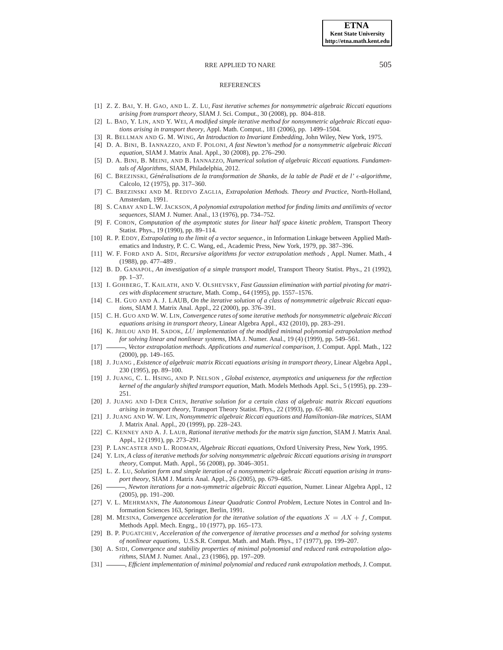#### **REFERENCES**

- <span id="page-16-2"></span>[1] Z. Z. BAI, Y. H. GAO, AND L. Z. LU, *Fast iterative schemes for nonsymmetric algebraic Riccati equations arising from transport theory*, SIAM J. Sci. Comput., 30 (2008), pp. 804–818.
- <span id="page-16-15"></span>[2] L. BAO, Y. LIN, AND Y. WEI, *A modified simple iterative method for nonsymmetric algebraic Riccati equations arising in transport theory*, Appl. Math. Comput., 181 (2006), pp. 1499–1504.
- <span id="page-16-17"></span><span id="page-16-3"></span>[3] R. BELLMAN AND G. M. WING, *An Introduction to Invariant Embedding*, John Wiley, New York, 1975.
- [4] D. A. BINI, B. IANNAZZO, AND F. POLONI, *A fast Newton's method for a nonsymmetric algebraic Riccati equation*, SIAM J. Matrix Anal. Appl., 30 (2008), pp. 276–290.
- <span id="page-16-8"></span>[5] D. A. BINI, B. MEINI, AND B. IANNAZZO, *Numerical solution of algebraic Riccati equations. Fundamentals of Algorithms*, SIAM, Philadelphia, 2012.
- <span id="page-16-24"></span><span id="page-16-0"></span>[6] C. BREZINSKI, *Gen´ eralisations de la transformation de Shanks, de la table de P ´ ade et de l' ´* ǫ*-algorithme*, Calcolo, 12 (1975), pp. 317–360.
- <span id="page-16-21"></span>[7] C. BREZINSKI AND M. REDIVO ZAGLIA, *Extrapolation Methods. Theory and Practice*, North-Holland, Amsterdam, 1991.
- [8] S. CABAY AND L.W. JACKSON, *A polynomial extrapolation method for finding limits and antilimits of vector sequences*, SIAM J. Numer. Anal., 13 (1976), pp. 734–752.
- <span id="page-16-4"></span>[9] F. CORON, *Computation of the asymptotic states for linear half space kinetic problem*, Transport Theory Statist. Phys., 19 (1990), pp. 89–114.
- <span id="page-16-22"></span>[10] R. P. EDDY, *Extrapolating to the limit of a vector sequence.*, in Information Linkage between Applied Mathematics and Industry, P. C. C. Wang, ed., Academic Press, New York, 1979, pp. 387–396.
- <span id="page-16-26"></span>[11] W. F. FORD AND A. SIDI, *Recursive algorithms for vector extrapolation methods* , Appl. Numer. Math., 4 (1988), pp. 477–489 .
- <span id="page-16-5"></span>[12] B. D. GANAPOL, *An investigation of a simple transport model*, Transport Theory Statist. Phys., 21 (1992), pp. 1–37.
- <span id="page-16-20"></span>[13] I. GOHBERG, T. KAILATH, AND V. OLSHEVSKY, *Fast Gaussian elimination with partial pivoting for matrices with displacement structure*, Math. Comp., 64 (1995), pp. 1557–1576.
- <span id="page-16-18"></span>[14] C. H. GUO AND A. J. LAUB, *On the iterative solution of a class of nonsymmetric algebraic Riccati equations*, SIAM J. Matrix Anal. Appl., 22 (2000), pp. 376–391.
- <span id="page-16-16"></span>[15] C. H. GUO AND W. W. LIN, *Convergence rates of some iterative methods for nonsymmetric algebraic Riccati equations arising in transport theory*, Linear Algebra Appl., 432 (2010), pp. 283–291.
- <span id="page-16-27"></span>[16] K. JBILOU AND H. SADOK, LU *implementation of the modified minimal polynomial extrapolation method for solving linear and nonlinear systems*, IMA J. Numer. Anal., 19 (4) (1999), pp. 549–561.
- <span id="page-16-28"></span>[17] , *Vector extrapolation methods. Applications and numerical comparison*, J. Comput. Appl. Math., 122 (2000), pp. 149–165.
- <span id="page-16-11"></span>[18] J. JUANG , *Existence of algebraic matrix Riccati equations arising in transport theory*, Linear Algebra Appl., 230 (1995), pp. 89–100.
- <span id="page-16-7"></span>[19] J. JUANG, C. L. HSING, AND P. NELSON , *Global existence, asymptotics and uniqueness for the reflection kernel of the angularly shifted transport equation*, Math. Models Methods Appl. Sci., 5 (1995), pp. 239– 251.
- <span id="page-16-13"></span>[20] J. JUANG AND I-DER CHEN, *Iterative solution for a certain class of algebraic matrix Riccati equations arising in transport theory*, Transport Theory Statist. Phys., 22 (1993), pp. 65–80.
- <span id="page-16-12"></span>[21] J. JUANG AND W. W. LIN, *Nonsymmetric algebraic Riccati equations and Hamiltonian-like matrices*, SIAM J. Matrix Anal. Appl., 20 (1999), pp. 228–243.
- <span id="page-16-6"></span>[22] C. KENNEY AND A. J. LAUB, *Rational iterative methods for the matrix sign function*, SIAM J. Matrix Anal. Appl., 12 (1991), pp. 273–291.
- <span id="page-16-9"></span><span id="page-16-1"></span>[23] P. LANCASTER AND L. RODMAN, *Algebraic Riccati equations*, Oxford University Press, New York, 1995.
- [24] Y. LIN, *A class of iterative methods for solving nonsymmetric algebraic Riccati equations arising in transport theory*, Comput. Math. Appl., 56 (2008), pp. 3046–3051.
- <span id="page-16-14"></span>[25] L. Z. LU, *Solution form and simple iteration of a nonsymmetric algebraic Riccati equation arising in transport theory*, SIAM J. Matrix Anal. Appl., 26 (2005), pp. 679–685.
- <span id="page-16-19"></span>[26] , *Newton iterations for a non-symmetric algebraic Riccati equation*, Numer. Linear Algebra Appl., 12 (2005), pp. 191–200.
- <span id="page-16-10"></span>[27] V. L. MEHRMANN, *The Autonomous Linear Quadratic Control Problem*, Lecture Notes in Control and Information Sciences 163, Springer, Berlin, 1991.
- <span id="page-16-23"></span>[28] M. MESINA, *Convergence acceleration for the iterative solution of the equations*  $X = AX + f$ , *Comput.* Methods Appl. Mech. Engrg., 10 (1977), pp. 165–173.
- <span id="page-16-25"></span>[29] B. P. PUGATCHEV, *Acceleration of the convergence of iterative processes and a method for solving systems of nonlinear equations,* U.S.S.R. Comput. Math. and Math. Phys., 17 (1977), pp. 199–207.
- <span id="page-16-29"></span>[30] A. SIDI, *Convergence and stability properties of minimal polynomial and reduced rank extrapolation algorithms*, SIAM J. Numer. Anal., 23 (1986), pp. 197–209.
- <span id="page-16-30"></span>[31] , *Efficient implementation of minimal polynomial and reduced rank extrapolation methods*, J. Comput.